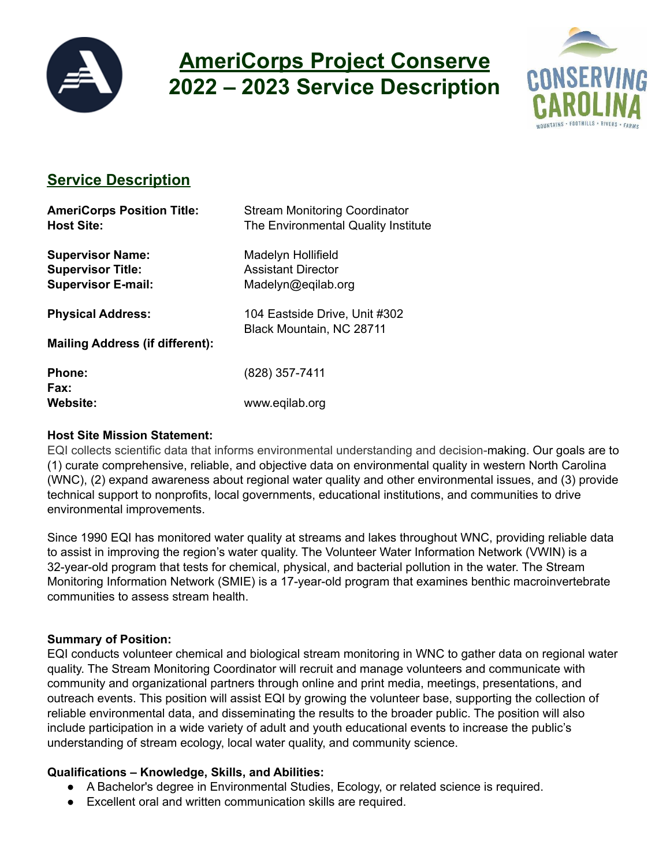

# **AmeriCorps Project Conserve 2022 – 2023 Service Description**



# **Service Description**

| <b>AmeriCorps Position Title:</b><br><b>Host Site:</b>                           | <b>Stream Monitoring Coordinator</b><br>The Environmental Quality Institute |
|----------------------------------------------------------------------------------|-----------------------------------------------------------------------------|
| <b>Supervisor Name:</b><br><b>Supervisor Title:</b><br><b>Supervisor E-mail:</b> | Madelyn Hollifield<br><b>Assistant Director</b><br>Madelyn@eqilab.org       |
| <b>Physical Address:</b>                                                         | 104 Eastside Drive, Unit #302<br>Black Mountain, NC 28711                   |
| <b>Mailing Address (if different):</b>                                           |                                                                             |
| <b>Phone:</b><br>Fax:                                                            | (828) 357-7411                                                              |
| Website:                                                                         | www.eqilab.org                                                              |

#### **Host Site Mission Statement:**

EQI collects scientific data that informs environmental understanding and decision-making. Our goals are to (1) curate comprehensive, reliable, and objective data on environmental quality in western North Carolina (WNC), (2) expand awareness about regional water quality and other environmental issues, and (3) provide technical support to nonprofits, local governments, educational institutions, and communities to drive environmental improvements.

Since 1990 EQI has monitored water quality at streams and lakes throughout WNC, providing reliable data to assist in improving the region's water quality. The Volunteer Water Information Network (VWIN) is a 32-year-old program that tests for chemical, physical, and bacterial pollution in the water. The Stream Monitoring Information Network (SMIE) is a 17-year-old program that examines benthic macroinvertebrate communities to assess stream health.

# **Summary of Position:**

EQI conducts volunteer chemical and biological stream monitoring in WNC to gather data on regional water quality. The Stream Monitoring Coordinator will recruit and manage volunteers and communicate with community and organizational partners through online and print media, meetings, presentations, and outreach events. This position will assist EQI by growing the volunteer base, supporting the collection of reliable environmental data, and disseminating the results to the broader public. The position will also include participation in a wide variety of adult and youth educational events to increase the public's understanding of stream ecology, local water quality, and community science.

# **Qualifications – Knowledge, Skills, and Abilities:**

- A Bachelor's degree in Environmental Studies, Ecology, or related science is required.
- Excellent oral and written communication skills are required.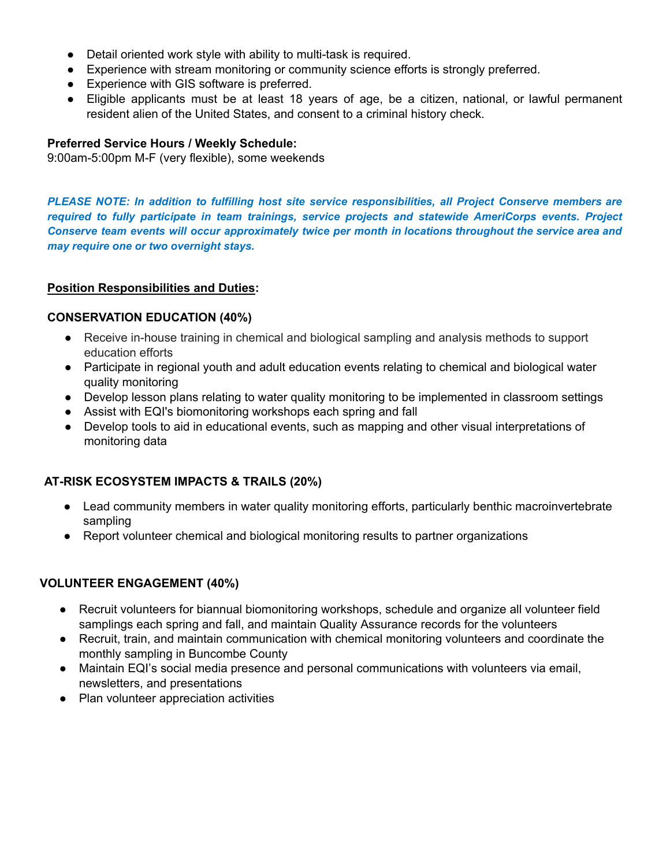- Detail oriented work style with ability to multi-task is required.
- Experience with stream monitoring or community science efforts is strongly preferred.
- Experience with GIS software is preferred.
- Eligible applicants must be at least 18 years of age, be a citizen, national, or lawful permanent resident alien of the United States, and consent to a criminal history check.

#### **Preferred Service Hours / Weekly Schedule:**

9:00am-5:00pm M-F (very flexible), some weekends

*PLEASE NOTE: In addition to fulfilling host site service responsibilities, all Project Conserve members are required to fully participate in team trainings, service projects and statewide AmeriCorps events. Project Conserve team events will occur approximately twice per month in locations throughout the service area and may require one or two overnight stays.*

#### **Position Responsibilities and Duties:**

#### **CONSERVATION EDUCATION (40%)**

- Receive in-house training in chemical and biological sampling and analysis methods to support education efforts
- Participate in regional youth and adult education events relating to chemical and biological water quality monitoring
- Develop lesson plans relating to water quality monitoring to be implemented in classroom settings
- Assist with EQI's biomonitoring workshops each spring and fall
- Develop tools to aid in educational events, such as mapping and other visual interpretations of monitoring data

#### **AT-RISK ECOSYSTEM IMPACTS & TRAILS (20%)**

- Lead community members in water quality monitoring efforts, particularly benthic macroinvertebrate sampling
- Report volunteer chemical and biological monitoring results to partner organizations

#### **VOLUNTEER ENGAGEMENT (40%)**

- Recruit volunteers for biannual biomonitoring workshops, schedule and organize all volunteer field samplings each spring and fall, and maintain Quality Assurance records for the volunteers
- Recruit, train, and maintain communication with chemical monitoring volunteers and coordinate the monthly sampling in Buncombe County
- Maintain EQI's social media presence and personal communications with volunteers via email, newsletters, and presentations
- Plan volunteer appreciation activities